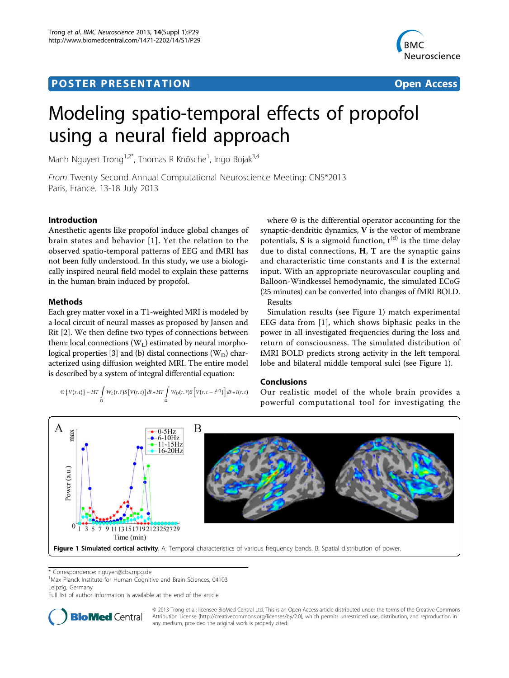## **POSTER PRESENTATION CONSUMING THE SERVICE SERVICE SERVICES**



# Modeling spatio-temporal effects of propofol using a neural field approach

Manh Nguyen Trong<sup>1,2\*</sup>, Thomas R Knösche<sup>1</sup>, Ingo Bojak<sup>3,4</sup>

From Twenty Second Annual Computational Neuroscience Meeting: CNS\*2013 Paris, France. 13-18 July 2013

## Introduction

Anesthetic agents like propofol induce global changes of brain states and behavior [[1\]](#page-1-0). Yet the relation to the observed spatio-temporal patterns of EEG and fMRI has not been fully understood. In this study, we use a biologically inspired neural field model to explain these patterns in the human brain induced by propofol.

## Methods

Each grey matter voxel in a T1-weighted MRI is modeled by a local circuit of neural masses as proposed by Jansen and Rit [\[2](#page-1-0)]. We then define two types of connections between them: local connections  $(W<sub>L</sub>)$  estimated by neural morpho-logical properties [[3](#page-1-0)] and (b) distal connections  $(W_D)$  characterized using diffusion weighted MRI. The entire model is described by a system of integral differential equation:

$$
\Theta\left\{\,V(r,t)\,\right\} = HT\int\limits_{\Omega} W_L(r,\tilde{r}) S\left[V(r,t)\right] d\tilde{r} + HT\int\limits_{\Omega} W_D(r,\tilde{r}) S\left[V(r,t-t^{(d)})\right] d\tilde{r} + I(r,t)
$$

where Θ is the differential operator accounting for the synaptic-dendritic dynamics, V is the vector of membrane potentials, S is a sigmoid function,  $t^{(d)}$  is the time delay due to distal connections,  $H$ ,  $T$  are the synaptic gains and characteristic time constants and I is the external input. With an appropriate neurovascular coupling and Balloon-Windkessel hemodynamic, the simulated ECoG (25 minutes) can be converted into changes of fMRI BOLD. Results

Simulation results (see Figure 1) match experimental EEG data from [[1\]](#page-1-0), which shows biphasic peaks in the power in all investigated frequencies during the loss and return of consciousness. The simulated distribution of fMRI BOLD predicts strong activity in the left temporal lobe and bilateral middle temporal sulci (see Figure 1).

## Conclusions

Our realistic model of the whole brain provides a powerful computational tool for investigating the



\* Correspondence: [nguyen@cbs.mpg.de](mailto:nguyen@cbs.mpg.de)

<sup>1</sup>Max Planck Institute for Human Cognitive and Brain Sciences, 04103 Leipzig, Germany

Full list of author information is available at the end of the article



© 2013 Trong et al; licensee BioMed Central Ltd. This is an Open Access article distributed under the terms of the Creative Commons Attribution License [\(http://creativecommons.org/licenses/by/2.0](http://creativecommons.org/licenses/by/2.0)), which permits unrestricted use, distribution, and reproduction in any medium, provided the original work is properly cited.